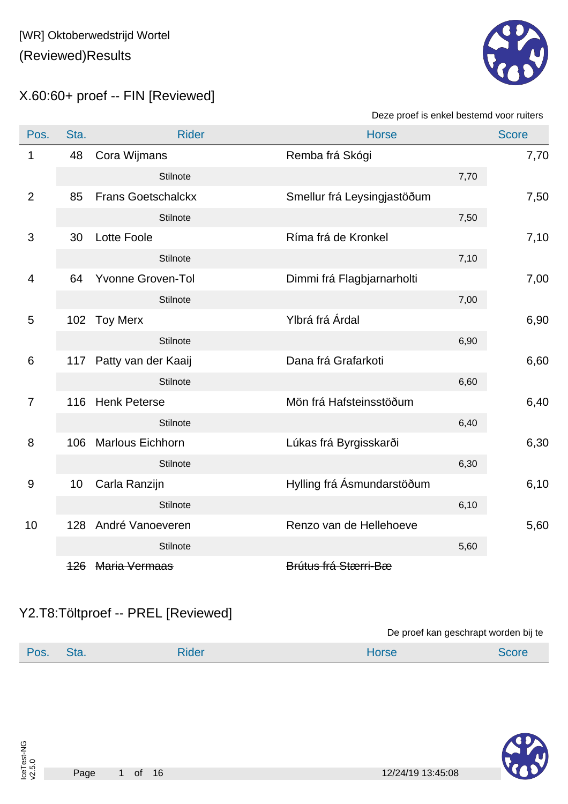

X.60:60+ proef -- FIN [Reviewed]

Deze proef is enkel bestemd voor ruiters

| Pos.           | Sta. | <b>Rider</b>              | <b>Horse</b>                |      | <b>Score</b> |
|----------------|------|---------------------------|-----------------------------|------|--------------|
| 1              | 48   | Cora Wijmans              | Remba frá Skógi             |      | 7,70         |
|                |      | Stilnote                  |                             | 7,70 |              |
| $\overline{2}$ | 85   | <b>Frans Goetschalckx</b> | Smellur frá Leysingjastöðum |      | 7,50         |
|                |      | Stilnote                  |                             | 7,50 |              |
| 3              | 30   | <b>Lotte Foole</b>        | Ríma frá de Kronkel         |      | 7,10         |
|                |      | Stilnote                  |                             | 7,10 |              |
| 4              | 64   | <b>Yvonne Groven-Tol</b>  | Dimmi frá Flagbjarnarholti  |      | 7,00         |
|                |      | <b>Stilnote</b>           |                             | 7,00 |              |
| 5              |      | 102 Toy Merx              | Ylbrá frá Árdal             |      | 6,90         |
|                |      | <b>Stilnote</b>           |                             | 6,90 |              |
| 6              |      | 117 Patty van der Kaaij   | Dana frá Grafarkoti         |      | 6,60         |
|                |      | <b>Stilnote</b>           |                             | 6,60 |              |
| $\overline{7}$ |      | 116 Henk Peterse          | Mön frá Hafsteinsstöðum     |      | 6,40         |
|                |      | Stilnote                  |                             | 6,40 |              |
| 8              | 106  | <b>Marlous Eichhorn</b>   | Lúkas frá Byrgisskarði      |      | 6,30         |
|                |      | Stilnote                  |                             | 6,30 |              |
| $9$            | 10   | Carla Ranzijn             | Hylling frá Ásmundarstöðum  |      | 6,10         |
|                |      | Stilnote                  |                             | 6,10 |              |
| 10             |      | 128 André Vanoeveren      | Renzo van de Hellehoeve     |      | 5,60         |
|                |      | Stilnote                  |                             | 5,60 |              |
|                |      | 126 Maria Vermaas         | Brútus frá Stærri-Bæ        |      |              |

### Y2.T8:Töltproef -- PREL [Reviewed]

De proef kan geschrapt worden bij te

| Pos. | Sta. | udel: | <b>Horse</b> | SCOLE |
|------|------|-------|--------------|-------|
|      |      |       |              |       |

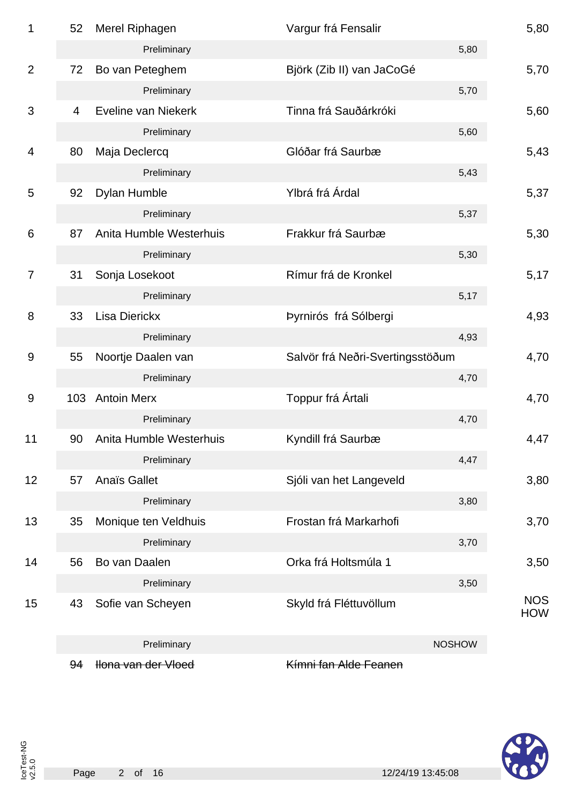| 1              | 52             | Merel Riphagen          | Vargur frá Fensalir              |               | 5,80                     |
|----------------|----------------|-------------------------|----------------------------------|---------------|--------------------------|
|                |                | Preliminary             |                                  | 5,80          |                          |
| $\overline{2}$ | 72             | Bo van Peteghem         | Björk (Zib II) van JaCoGé        |               | 5,70                     |
|                |                | Preliminary             |                                  | 5,70          |                          |
| 3              | $\overline{4}$ | Eveline van Niekerk     | Tinna frá Sauðárkróki            |               | 5,60                     |
|                |                | Preliminary             |                                  | 5,60          |                          |
| 4              | 80             | Maja Declercq           | Glóðar frá Saurbæ                |               | 5,43                     |
|                |                | Preliminary             |                                  | 5,43          |                          |
| 5              | 92             | Dylan Humble            | Ylbrá frá Árdal                  |               | 5,37                     |
|                |                | Preliminary             |                                  | 5,37          |                          |
| 6              | 87             | Anita Humble Westerhuis | Frakkur frá Saurbæ               |               | 5,30                     |
|                |                | Preliminary             |                                  | 5,30          |                          |
| 7              | 31             | Sonja Losekoot          | Rímur frá de Kronkel             |               | 5,17                     |
|                |                | Preliminary             |                                  | 5,17          |                          |
| 8              | 33             | <b>Lisa Dierickx</b>    | Þyrnirós frá Sólbergi            |               | 4,93                     |
|                |                | Preliminary             |                                  | 4,93          |                          |
| 9              | 55             | Noortje Daalen van      | Salvör frá Neðri-Svertingsstöðum |               | 4,70                     |
|                |                | Preliminary             |                                  | 4,70          |                          |
| 9              | 103            | <b>Antoin Merx</b>      | Toppur frá Ártali                |               | 4,70                     |
|                |                | Preliminary             |                                  | 4,70          |                          |
| 11             | 90             | Anita Humble Westerhuis | Kyndill frá Saurbæ               |               | 4,47                     |
|                |                | Preliminary             |                                  | 4,47          |                          |
| 12             | 57             | <b>Anaïs Gallet</b>     | Sjóli van het Langeveld          |               | 3,80                     |
|                |                | Preliminary             |                                  | 3,80          |                          |
| 13             | 35             | Monique ten Veldhuis    | Frostan frá Markarhofi           |               | 3,70                     |
|                |                | Preliminary             |                                  | 3,70          |                          |
| 14             | 56             | Bo van Daalen           | Orka frá Holtsmúla 1             |               | 3,50                     |
|                |                | Preliminary             |                                  | 3,50          |                          |
| 15             | 43             | Sofie van Scheyen       | Skyld frá Fléttuvöllum           |               | <b>NOS</b><br><b>HOW</b> |
|                |                | Preliminary             |                                  | <b>NOSHOW</b> |                          |
|                | 94             | Hona van der Vloed      | Kímni fan Alde Feanen            |               |                          |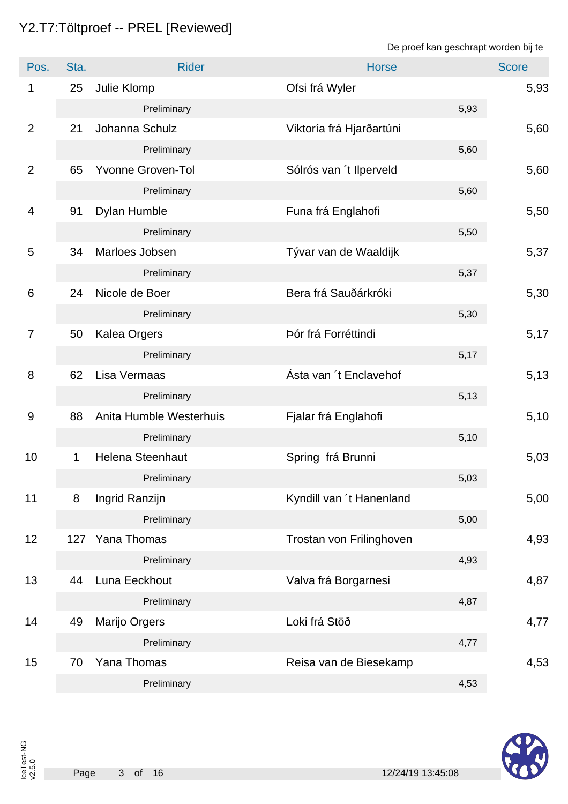## Y2.T7:Töltproef -- PREL [Reviewed]

De proef kan geschrapt worden bij te

| Pos.           | Sta. | <b>Rider</b>             | <b>Horse</b>             | <b>Score</b> |
|----------------|------|--------------------------|--------------------------|--------------|
| 1              | 25   | Julie Klomp              | Ofsi frá Wyler           | 5,93         |
|                |      | Preliminary              | 5,93                     |              |
| $\overline{2}$ | 21   | Johanna Schulz           | Viktoría frá Hjarðartúni | 5,60         |
|                |      | Preliminary              | 5,60                     |              |
| $\overline{2}$ | 65   | <b>Yvonne Groven-Tol</b> | Sólrós van 't llperveld  | 5,60         |
|                |      | Preliminary              | 5,60                     |              |
| 4              | 91   | Dylan Humble             | Funa frá Englahofi       | 5,50         |
|                |      | Preliminary              | 5,50                     |              |
| 5              | 34   | Marloes Jobsen           | Tývar van de Waaldijk    | 5,37         |
|                |      | Preliminary              | 5,37                     |              |
| 6              | 24   | Nicole de Boer           | Bera frá Sauðárkróki     | 5,30         |
|                |      | Preliminary              | 5,30                     |              |
| $\overline{7}$ | 50   | <b>Kalea Orgers</b>      | Þór frá Forréttindi      | 5,17         |
|                |      | Preliminary              | 5,17                     |              |
| 8              | 62   | Lisa Vermaas             | Ásta van 't Enclavehof   | 5,13         |
|                |      | Preliminary              | 5,13                     |              |
| 9              | 88   | Anita Humble Westerhuis  | Fjalar frá Englahofi     | 5,10         |
|                |      | Preliminary              | 5,10                     |              |
| 10             | 1    | <b>Helena Steenhaut</b>  | Spring frá Brunni        | 5,03         |
|                |      | Preliminary              | 5,03                     |              |
| 11             | 8    | Ingrid Ranzijn           | Kyndill van 't Hanenland | 5,00         |
|                |      | Preliminary              | 5,00                     |              |
| 12             | 127  | Yana Thomas              | Trostan von Frilinghoven | 4,93         |
|                |      | Preliminary              | 4,93                     |              |
| 13             | 44   | Luna Eeckhout            | Valva frá Borgarnesi     | 4,87         |
|                |      | Preliminary              | 4,87                     |              |
| 14             | 49   | Marijo Orgers            | Loki frá Stöð            | 4,77         |
|                |      | Preliminary              | 4,77                     |              |
| 15             | 70   | Yana Thomas              | Reisa van de Biesekamp   | 4,53         |
|                |      | Preliminary              | 4,53                     |              |

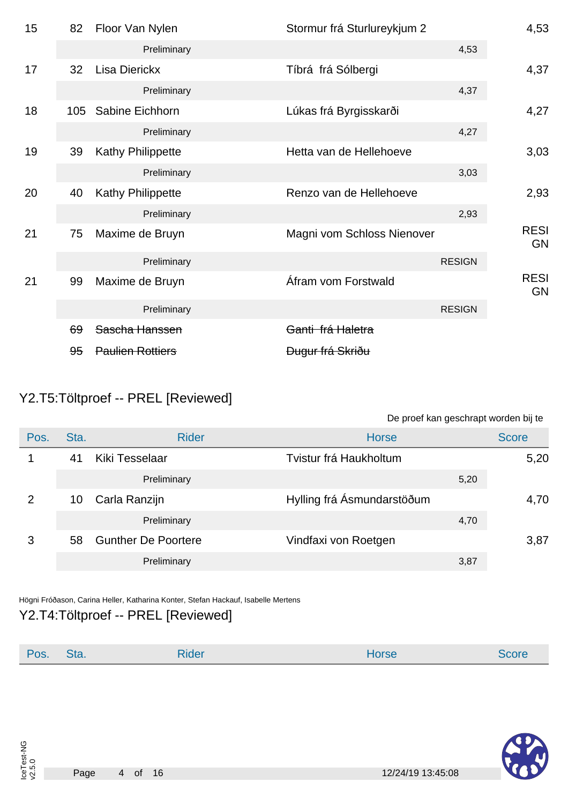| 15 | 82  | Floor Van Nylen          | Stormur frá Sturlureykjum 2 |               | 4,53                     |
|----|-----|--------------------------|-----------------------------|---------------|--------------------------|
|    |     | Preliminary              |                             | 4,53          |                          |
| 17 | 32  | <b>Lisa Dierickx</b>     | Tíbrá frá Sólbergi          |               | 4,37                     |
|    |     | Preliminary              |                             | 4,37          |                          |
| 18 | 105 | Sabine Eichhorn          | Lúkas frá Byrgisskarði      |               | 4,27                     |
|    |     | Preliminary              |                             | 4,27          |                          |
| 19 | 39  | <b>Kathy Philippette</b> | Hetta van de Hellehoeve     |               | 3,03                     |
|    |     | Preliminary              |                             | 3,03          |                          |
| 20 | 40  | Kathy Philippette        | Renzo van de Hellehoeve     |               | 2,93                     |
|    |     | Preliminary              |                             | 2,93          |                          |
| 21 | 75  | Maxime de Bruyn          | Magni vom Schloss Nienover  |               | <b>RESI</b><br><b>GN</b> |
|    |     | Preliminary              |                             | <b>RESIGN</b> |                          |
| 21 | 99  | Maxime de Bruyn          | Áfram vom Forstwald         |               | <b>RESI</b><br><b>GN</b> |
|    |     | Preliminary              |                             | <b>RESIGN</b> |                          |
|    | 69  | Sascha Hanssen           | Ganti frá Haletra           |               |                          |
|    | 95  | <b>Paulien Rottiers</b>  | <del>Dugur frá Skriðu</del> |               |                          |

## Y2.T5:Töltproef -- PREL [Reviewed]

De proef kan geschrapt worden bij te

| Pos.          | Sta. | <b>Rider</b>               | <b>Horse</b>               | <b>Score</b> |
|---------------|------|----------------------------|----------------------------|--------------|
|               | 41   | Kiki Tesselaar             | Tvistur frá Haukholtum     | 5,20         |
|               |      | Preliminary                | 5,20                       |              |
| $\mathcal{P}$ | 10   | Carla Ranzijn              | Hylling frá Ásmundarstöðum | 4,70         |
|               |      | Preliminary                | 4,70                       |              |
| 3             | 58   | <b>Gunther De Poortere</b> | Vindfaxi von Roetgen       | 3,87         |
|               |      | Preliminary                | 3,87                       |              |

Högni Fróðason, Carina Heller, Katharina Konter, Stefan Hackauf, Isabelle Mertens Y2.T4:Töltproef -- PREL [Reviewed]

| <b>Rider</b><br>Pos.<br>Sta.<br>Horse<br>Score |  |
|------------------------------------------------|--|
|------------------------------------------------|--|

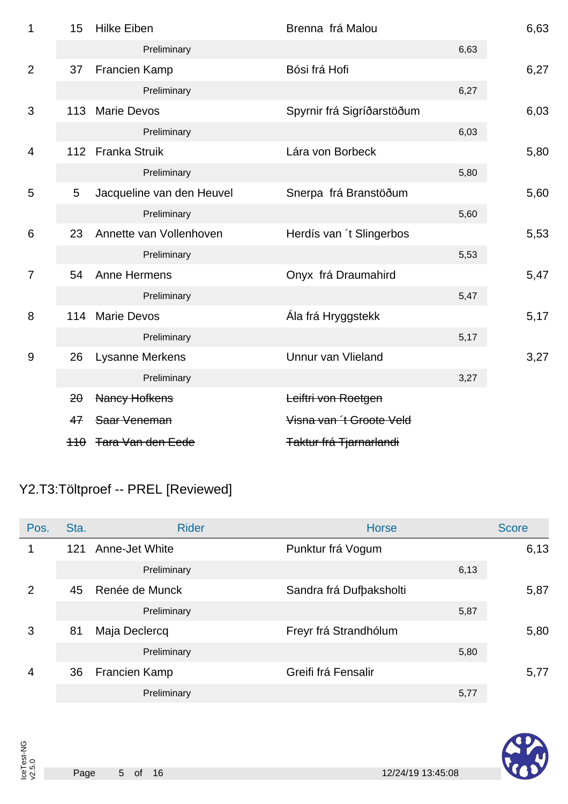| 1              | 15  | <b>Hilke Eiben</b>        | Brenna frá Malou           |      | 6,63 |
|----------------|-----|---------------------------|----------------------------|------|------|
|                |     | Preliminary               |                            | 6,63 |      |
| $\overline{2}$ | 37  | Francien Kamp             | Bósi frá Hofi              |      | 6,27 |
|                |     | Preliminary               |                            | 6,27 |      |
| 3              | 113 | <b>Marie Devos</b>        | Spyrnir frá Sigríðarstöðum |      | 6,03 |
|                |     | Preliminary               |                            | 6,03 |      |
| 4              |     | 112 Franka Struik         | Lára von Borbeck           |      | 5,80 |
|                |     | Preliminary               |                            | 5,80 |      |
| 5              | 5   | Jacqueline van den Heuvel | Snerpa frá Branstöðum      |      | 5,60 |
|                |     | Preliminary               |                            | 5,60 |      |
| 6              | 23  | Annette van Vollenhoven   | Herdís van 't Slingerbos   |      | 5,53 |
|                |     | Preliminary               |                            | 5,53 |      |
| $\overline{7}$ | 54  | Anne Hermens              | Onyx frá Draumahird        |      | 5,47 |
|                |     | Preliminary               |                            | 5,47 |      |
| 8              | 114 | <b>Marie Devos</b>        | Ála frá Hryggstekk         |      | 5,17 |
|                |     | Preliminary               |                            | 5,17 |      |
| 9              | 26  | <b>Lysanne Merkens</b>    | Unnur van Vlieland         |      | 3,27 |
|                |     | Preliminary               |                            | 3,27 |      |
|                | 20  | <b>Nancy Hofkens</b>      | Leiftri von Roetgen        |      |      |
|                | 47  | Saar Veneman              | Visna van 't Groote Veld   |      |      |
|                |     | 110 Tara Van den Eede     | Taktur frá Tjarnarlandi    |      |      |

# Y2.T3:Töltproef -- PREL [Reviewed]

| Pos. | Sta. | <b>Rider</b>   | <b>Horse</b>            | <b>Score</b> |
|------|------|----------------|-------------------------|--------------|
| 1    | 121  | Anne-Jet White | Punktur frá Vogum       | 6,13         |
|      |      | Preliminary    | 6,13                    |              |
| 2    | 45   | Renée de Munck | Sandra frá Dufbaksholti | 5,87         |
|      |      | Preliminary    | 5,87                    |              |
| 3    | 81   | Maja Declercq  | Freyr frá Strandhólum   | 5,80         |
|      |      | Preliminary    | 5,80                    |              |
| 4    | 36   | Francien Kamp  | Greifi frá Fensalir     | 5,77         |
|      |      | Preliminary    | 5,77                    |              |

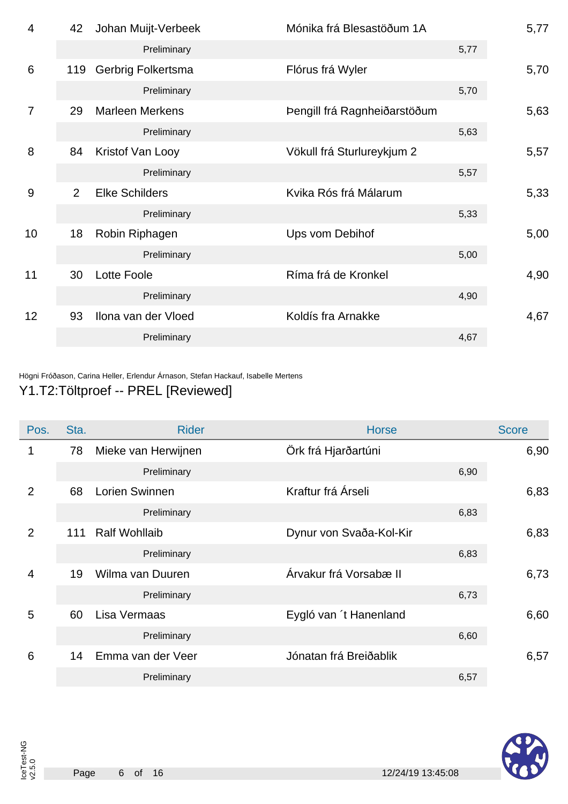| $\overline{4}$  | 42             | Johan Muijt-Verbeek    | Mónika frá Blesastöðum 1A    |      | 5,77 |
|-----------------|----------------|------------------------|------------------------------|------|------|
|                 |                | Preliminary            |                              | 5,77 |      |
| $6\phantom{1}6$ | 119            | Gerbrig Folkertsma     | Flórus frá Wyler             |      | 5,70 |
|                 |                | Preliminary            |                              | 5,70 |      |
| $\overline{7}$  | 29             | <b>Marleen Merkens</b> | Þengill frá Ragnheiðarstöðum |      | 5,63 |
|                 |                | Preliminary            |                              | 5,63 |      |
| 8               | 84             | Kristof Van Looy       | Vökull frá Sturlureykjum 2   |      | 5,57 |
|                 |                | Preliminary            |                              | 5,57 |      |
| 9               | $\overline{2}$ | <b>Elke Schilders</b>  | Kvika Rós frá Málarum        |      | 5,33 |
|                 |                | Preliminary            |                              | 5,33 |      |
| 10              | 18             | Robin Riphagen         | Ups vom Debihof              |      | 5,00 |
|                 |                | Preliminary            |                              | 5,00 |      |
| 11              | 30             | Lotte Foole            | Ríma frá de Kronkel          |      | 4,90 |
|                 |                | Preliminary            |                              | 4,90 |      |
| 12              | 93             | Ilona van der Vloed    | Koldís fra Arnakke           |      | 4,67 |
|                 |                | Preliminary            |                              | 4,67 |      |
|                 |                |                        |                              |      |      |

Högni Fróðason, Carina Heller, Erlendur Árnason, Stefan Hackauf, Isabelle Mertens

### Y1.T2:Töltproef -- PREL [Reviewed]

| Pos.           | Sta. | <b>Rider</b>         | <b>Horse</b>            | <b>Score</b> |
|----------------|------|----------------------|-------------------------|--------------|
| 1              | 78   | Mieke van Herwijnen  | Örk frá Hjarðartúni     | 6,90         |
|                |      | Preliminary          | 6,90                    |              |
| 2              | 68   | Lorien Swinnen       | Kraftur frá Árseli      | 6,83         |
|                |      | Preliminary          | 6,83                    |              |
| 2              | 111  | <b>Ralf Wohllaib</b> | Dynur von Svaða-Kol-Kir | 6,83         |
|                |      | Preliminary          | 6,83                    |              |
| $\overline{4}$ | 19   | Wilma van Duuren     | Árvakur frá Vorsabæ II  | 6,73         |
|                |      | Preliminary          | 6,73                    |              |
| 5              | 60   | Lisa Vermaas         | Eygló van 't Hanenland  | 6,60         |
|                |      | Preliminary          | 6,60                    |              |
| 6              | 14   | Emma van der Veer    | Jónatan frá Breiðablik  | 6,57         |
|                |      | Preliminary          | 6,57                    |              |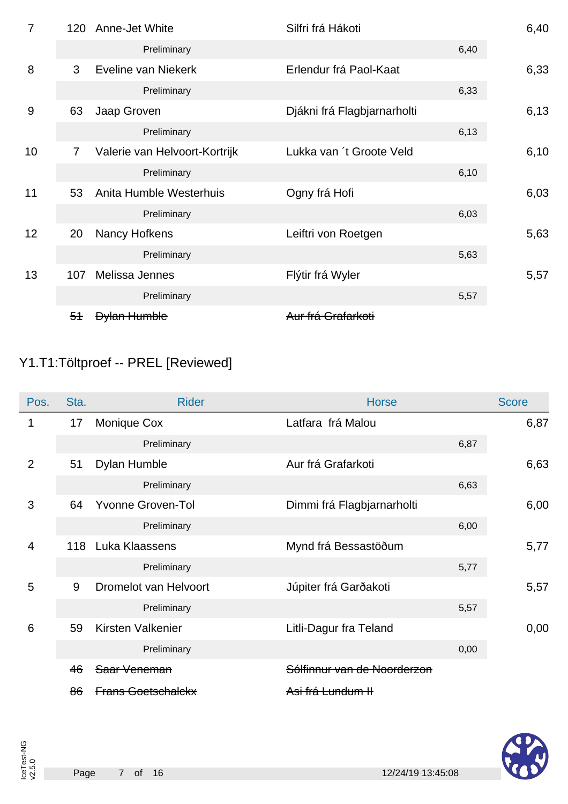| $\overline{7}$ | 120            | Anne-Jet White                | Silfri frá Hákoti           |      | 6,40 |
|----------------|----------------|-------------------------------|-----------------------------|------|------|
|                |                | Preliminary                   |                             | 6,40 |      |
| 8              | 3              | Eveline van Niekerk           | Erlendur frá Paol-Kaat      |      | 6,33 |
|                |                | Preliminary                   |                             | 6,33 |      |
| 9              | 63             | Jaap Groven                   | Djákni frá Flagbjarnarholti |      | 6,13 |
|                |                | Preliminary                   |                             | 6,13 |      |
| 10             | $\overline{7}$ | Valerie van Helvoort-Kortrijk | Lukka van 't Groote Veld    |      | 6,10 |
|                |                | Preliminary                   |                             | 6,10 |      |
| 11             | 53             | Anita Humble Westerhuis       | Ogny frá Hofi               |      | 6,03 |
|                |                | Preliminary                   |                             | 6,03 |      |
| 12             | 20             | Nancy Hofkens                 | Leiftri von Roetgen         |      | 5,63 |
|                |                | Preliminary                   |                             | 5,63 |      |
| 13             | 107            | Melissa Jennes                | Flýtir frá Wyler            |      | 5,57 |
|                |                | Preliminary                   |                             | 5,57 |      |
|                | 5 <sup>4</sup> | <b>Dylan Humble</b>           | Aur frá Grafarkoti          |      |      |

# Y1.T1:Töltproef -- PREL [Reviewed]

| Pos.           | Sta. | <b>Rider</b>              | <b>Horse</b>                | <b>Score</b> |      |
|----------------|------|---------------------------|-----------------------------|--------------|------|
| 1              | 17   | Monique Cox               | Latfara frá Malou           |              | 6,87 |
|                |      | Preliminary               |                             | 6,87         |      |
| 2              | 51   | Dylan Humble              | Aur frá Grafarkoti          |              | 6,63 |
|                |      | Preliminary               |                             | 6,63         |      |
| 3              | 64   | <b>Yvonne Groven-Tol</b>  | Dimmi frá Flagbjarnarholti  |              | 6,00 |
|                |      | Preliminary               |                             | 6,00         |      |
| $\overline{4}$ | 118  | Luka Klaassens            | Mynd frá Bessastöðum        |              | 5,77 |
|                |      | Preliminary               |                             | 5,77         |      |
| 5              | 9    | Dromelot van Helvoort     | Júpiter frá Garðakoti       |              | 5,57 |
|                |      | Preliminary               |                             | 5,57         |      |
| 6              | 59   | Kirsten Valkenier         | Litli-Dagur fra Teland      |              | 0,00 |
|                |      | Preliminary               |                             | 0,00         |      |
|                | 46   | Saar Veneman              | Sólfinnur van de Noorderzon |              |      |
|                | 86   | <b>Frans Goetschalckx</b> | Asi frá Lundum II           |              |      |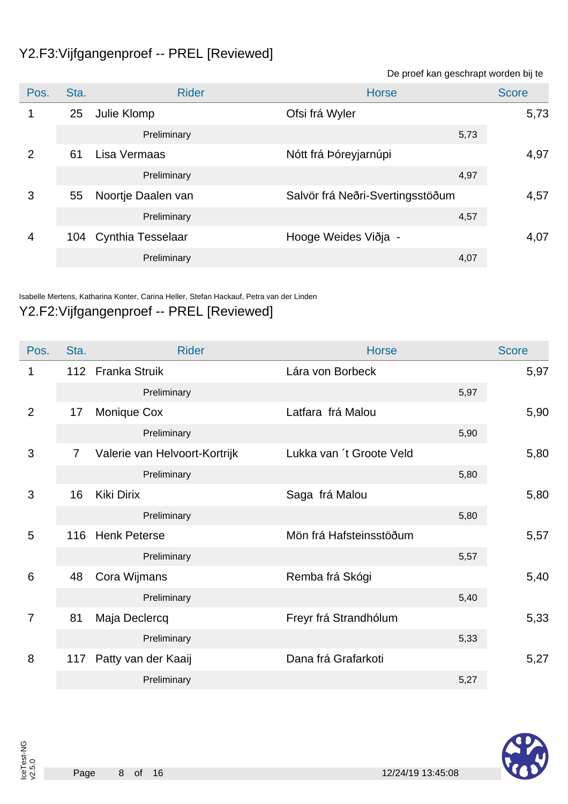### Y2.F3:Vijfgangenproef -- PREL [Reviewed]

De proef kan geschrapt worden bij te Pos. Sta. Sta. Rider Research Score Score Score Score Score Score Score Score Score 1 25 Julie Klomp Christian Christian March 1 25 Julie Klomp 5,73 Preliminary 5,73 2 61 Lisa Vermaas 1977 - Nótt frá Þóreyjarnúpi 1978 - 1977 - 1978 197 Preliminary 4,97 3 55 Noortje Daalen van Salvör frá Neðri-Svertingsstöðum 4,57 Preliminary 4,57 4 104 Cynthia Tesselaar Hooge Weides Viðja - 4,07 Preliminary 4,07

Isabelle Mertens, Katharina Konter, Carina Heller, Stefan Hackauf, Petra van der Linden

### Y2.F2:Vijfgangenproef -- PREL [Reviewed]

| Pos.            | Sta.           | <b>Rider</b>                  | <b>Horse</b>             | <b>Score</b> |
|-----------------|----------------|-------------------------------|--------------------------|--------------|
| 1               |                | 112 Franka Struik             | Lára von Borbeck         | 5,97         |
|                 |                | Preliminary                   | 5,97                     |              |
| 2               | 17             | Monique Cox                   | Latfara frá Malou        | 5,90         |
|                 |                | Preliminary                   | 5,90                     |              |
| 3               | $\overline{7}$ | Valerie van Helvoort-Kortrijk | Lukka van 't Groote Veld | 5,80         |
|                 |                | Preliminary                   | 5,80                     |              |
| 3               | 16             | <b>Kiki Dirix</b>             | Saga frá Malou           | 5,80         |
|                 |                | Preliminary                   | 5,80                     |              |
| 5               |                | 116 Henk Peterse              | Mön frá Hafsteinsstöðum  | 5,57         |
|                 |                | Preliminary                   | 5,57                     |              |
| $6\phantom{1}6$ | 48             | Cora Wijmans                  | Remba frá Skógi          | 5,40         |
|                 |                | Preliminary                   | 5,40                     |              |
| $\overline{7}$  | 81             | Maja Declercq                 | Freyr frá Strandhólum    | 5,33         |
|                 |                | Preliminary                   | 5,33                     |              |
| 8               | 117            | Patty van der Kaaij           | Dana frá Grafarkoti      | 5,27         |
|                 |                | Preliminary                   | 5,27                     |              |

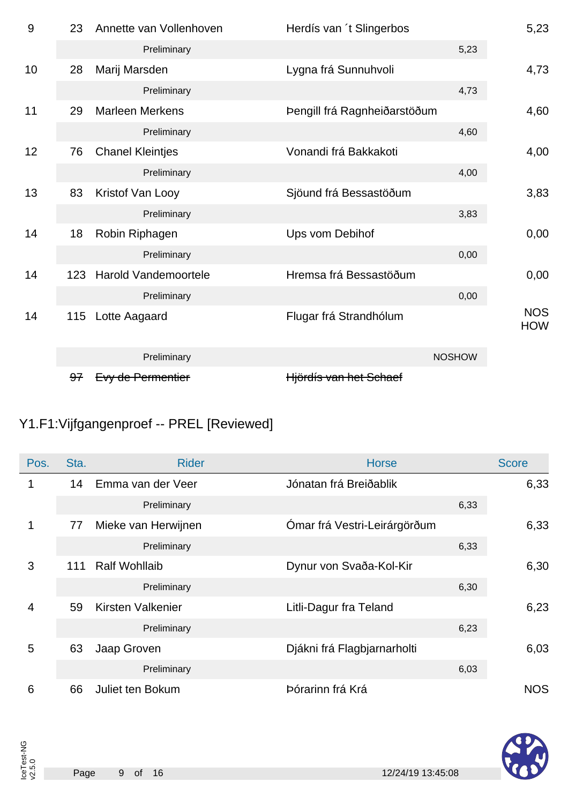| 9  | 23  | Annette van Vollenhoven | Herdís van 't Slingerbos     |               | 5,23                     |
|----|-----|-------------------------|------------------------------|---------------|--------------------------|
|    |     | Preliminary             |                              | 5,23          |                          |
| 10 | 28  | Marij Marsden           | Lygna frá Sunnuhvoli         |               | 4,73                     |
|    |     | Preliminary             |                              | 4,73          |                          |
| 11 | 29  | <b>Marleen Merkens</b>  | Þengill frá Ragnheiðarstöðum |               | 4,60                     |
|    |     | Preliminary             |                              | 4,60          |                          |
| 12 | 76  | <b>Chanel Kleintjes</b> | Vonandi frá Bakkakoti        |               | 4,00                     |
|    |     | Preliminary             |                              | 4,00          |                          |
| 13 | 83  | Kristof Van Looy        | Sjöund frá Bessastöðum       |               | 3,83                     |
|    |     | Preliminary             |                              | 3,83          |                          |
| 14 | 18  | Robin Riphagen          | Ups vom Debihof              |               | 0,00                     |
|    |     | Preliminary             |                              | 0,00          |                          |
| 14 | 123 | Harold Vandemoortele    | Hremsa frá Bessastöðum       |               | 0,00                     |
|    |     | Preliminary             |                              | 0,00          |                          |
| 14 | 115 | Lotte Aagaard           | Flugar frá Strandhólum       |               | <b>NOS</b><br><b>HOW</b> |
|    |     | Preliminary             |                              | <b>NOSHOW</b> |                          |
|    | 97  | Evy de Permentier       | Hjördís van het Schaef       |               |                          |

# Y1.F1:Vijfgangenproef -- PREL [Reviewed]

| Pos.           | Sta. | <b>Rider</b>         | <b>Horse</b>                 | <b>Score</b> |
|----------------|------|----------------------|------------------------------|--------------|
| 1              | 14   | Emma van der Veer    | Jónatan frá Breiðablik       | 6,33         |
|                |      | Preliminary          |                              | 6,33         |
| 1              | 77   | Mieke van Herwijnen  | Ómar frá Vestri-Leirárgörðum | 6,33         |
|                |      | Preliminary          |                              | 6,33         |
| 3              | 111  | <b>Ralf Wohllaib</b> | Dynur von Svaða-Kol-Kir      | 6,30         |
|                |      | Preliminary          |                              | 6,30         |
| $\overline{4}$ | 59   | Kirsten Valkenier    | Litli-Dagur fra Teland       | 6,23         |
|                |      | Preliminary          |                              | 6,23         |
| 5              | 63   | Jaap Groven          | Djákni frá Flagbjarnarholti  | 6,03         |
|                |      | Preliminary          |                              | 6,03         |
| 6              | 66   | Juliet ten Bokum     | Þórarinn frá Krá             | <b>NOS</b>   |

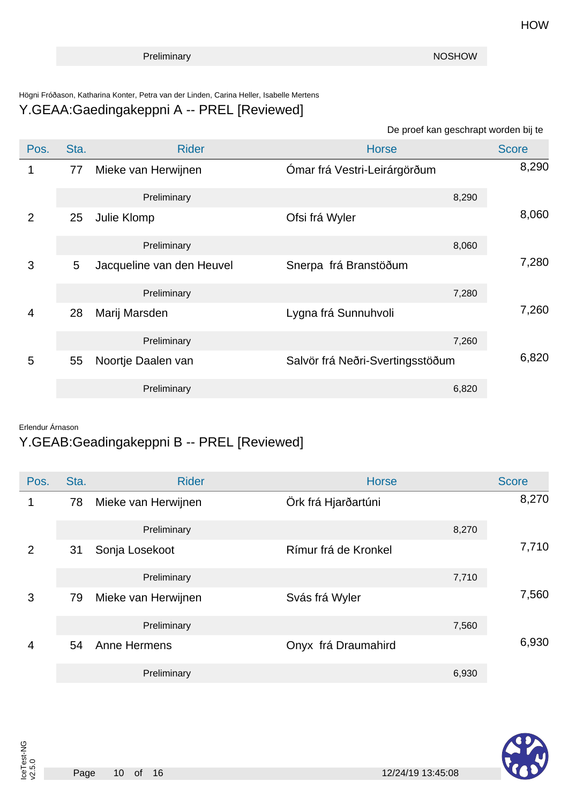#### Högni Fróðason, Katharina Konter, Petra van der Linden, Carina Heller, Isabelle Mertens Y.GEAA:Gaedingakeppni A -- PREL [Reviewed]

#### De proef kan geschrapt worden bij te

| Pos.           | Sta. | <b>Rider</b>              | <b>Horse</b>                     | <b>Score</b> |
|----------------|------|---------------------------|----------------------------------|--------------|
|                | 77   | Mieke van Herwijnen       | Ómar frá Vestri-Leirárgörðum     | 8,290        |
|                |      | Preliminary               | 8,290                            |              |
| 2              | 25   | Julie Klomp               | Ofsi frá Wyler                   | 8,060        |
|                |      | Preliminary               | 8,060                            |              |
| 3              | 5    | Jacqueline van den Heuvel | Snerpa frá Branstöðum            | 7,280        |
|                |      | Preliminary               | 7,280                            |              |
| $\overline{4}$ | 28   | Marij Marsden             | Lygna frá Sunnuhvoli             | 7,260        |
|                |      | Preliminary               | 7,260                            |              |
| 5              | 55   | Noortje Daalen van        | Salvör frá Neðri-Svertingsstöðum | 6,820        |
|                |      | Preliminary               | 6,820                            |              |

#### Erlendur Árnason

IceTest-NG v2.5.0

### Y.GEAB:Geadingakeppni B -- PREL [Reviewed]

| Pos.           | Sta. | <b>Rider</b>        | <b>Horse</b>         | <b>Score</b> |
|----------------|------|---------------------|----------------------|--------------|
| 1              | 78   | Mieke van Herwijnen | Örk frá Hjarðartúni  | 8,270        |
|                |      | Preliminary         | 8,270                |              |
| $\overline{2}$ | 31   | Sonja Losekoot      | Rímur frá de Kronkel | 7,710        |
|                |      | Preliminary         | 7,710                |              |
| 3              | 79   | Mieke van Herwijnen | Svás frá Wyler       | 7,560        |
|                |      | Preliminary         | 7,560                |              |
| 4              | 54   | Anne Hermens        | Onyx frá Draumahird  | 6,930        |
|                |      | Preliminary         | 6,930                |              |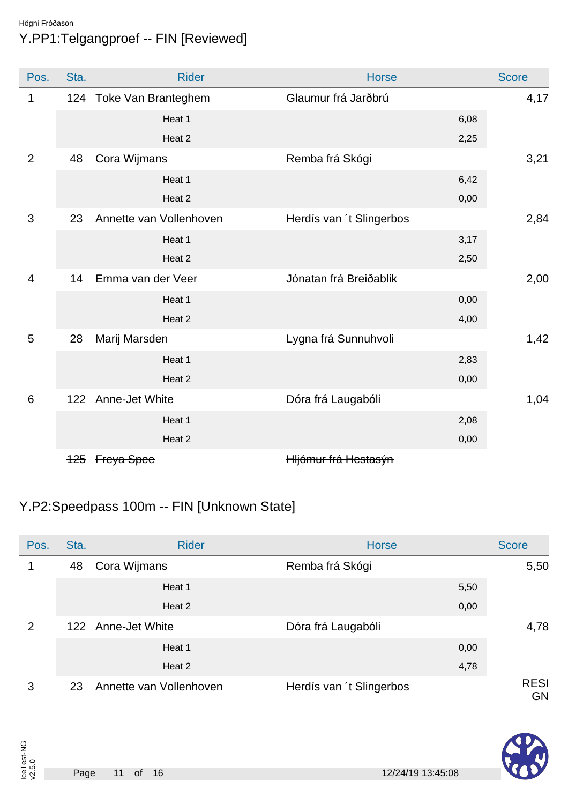### Högni Fróðason Y.PP1:Telgangproef -- FIN [Reviewed]

| Pos.            | Sta. |                         | <b>Rider</b>            | <b>Horse</b>             |      | <b>Score</b> |
|-----------------|------|-------------------------|-------------------------|--------------------------|------|--------------|
| 1               |      | 124 Toke Van Branteghem |                         | Glaumur frá Jarðbrú      |      | 4,17         |
|                 |      |                         | Heat 1                  |                          | 6,08 |              |
|                 |      |                         | Heat 2                  |                          | 2,25 |              |
| $\overline{2}$  | 48   | Cora Wijmans            |                         | Remba frá Skógi          |      | 3,21         |
|                 |      |                         | Heat 1                  |                          | 6,42 |              |
|                 |      |                         | Heat 2                  |                          | 0,00 |              |
| 3               | 23   |                         | Annette van Vollenhoven | Herdís van 't Slingerbos |      | 2,84         |
|                 |      |                         | Heat 1                  |                          | 3,17 |              |
|                 |      |                         | Heat 2                  |                          | 2,50 |              |
| 4               | 14   | Emma van der Veer       |                         | Jónatan frá Breiðablik   |      | 2,00         |
|                 |      |                         | Heat 1                  |                          | 0,00 |              |
|                 |      |                         | Heat 2                  |                          | 4,00 |              |
| 5               | 28   | Marij Marsden           |                         | Lygna frá Sunnuhvoli     |      | 1,42         |
|                 |      |                         | Heat 1                  |                          | 2,83 |              |
|                 |      |                         | Heat 2                  |                          | 0,00 |              |
| $6\phantom{1}6$ |      | 122 Anne-Jet White      |                         | Dóra frá Laugabóli       |      | 1,04         |
|                 |      |                         | Heat 1                  |                          | 2,08 |              |
|                 |      |                         | Heat 2                  |                          | 0,00 |              |
|                 |      | 125 Freya Spee          |                         | Hljómur frá Hestasýn     |      |              |

## Y.P2:Speedpass 100m -- FIN [Unknown State]

| Pos. | Sta. | <b>Rider</b>            | <b>Horse</b>             | <b>Score</b>             |
|------|------|-------------------------|--------------------------|--------------------------|
|      | 48   | Cora Wijmans            | Remba frá Skógi          | 5,50                     |
|      |      | Heat 1                  | 5,50                     |                          |
|      |      | Heat 2                  | 0,00                     |                          |
| 2    |      | 122 Anne-Jet White      | Dóra frá Laugabóli       | 4,78                     |
|      |      | Heat 1                  | 0,00                     |                          |
|      |      | Heat 2                  | 4,78                     |                          |
| 3    | 23   | Annette van Vollenhoven | Herdís van 't Slingerbos | <b>RESI</b><br><b>GN</b> |

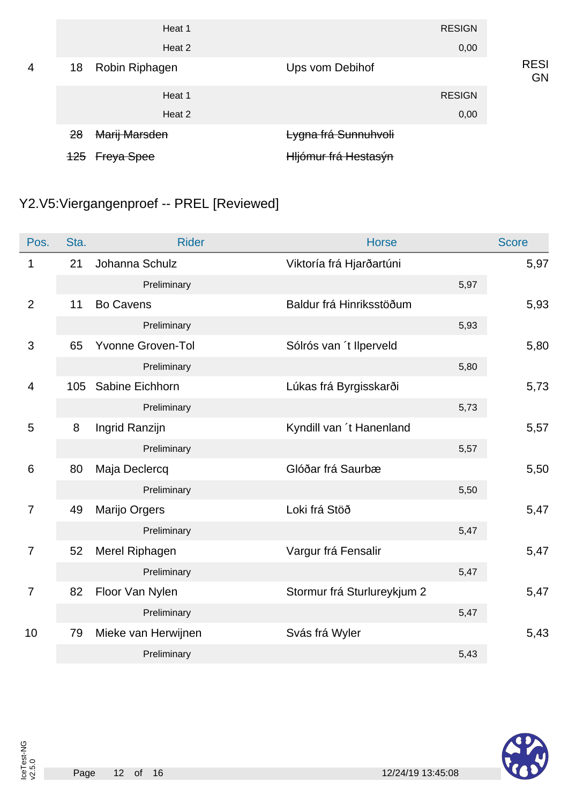|                |                | Heat 1            | <b>RESIGN</b>        |                   |
|----------------|----------------|-------------------|----------------------|-------------------|
|                |                | Heat 2            | 0,00                 |                   |
| $\overline{4}$ | 18             | Robin Riphagen    | Ups vom Debihof      | <b>RESI</b><br>GN |
|                |                | Heat 1            | <b>RESIGN</b>        |                   |
|                |                | Heat 2            | 0,00                 |                   |
|                | <del>28</del>  | Marij Marsden     | Lygna frá Sunnuhvoli |                   |
|                | <del>125</del> | <b>Freya Spee</b> | Hljómur frá Hestasýn |                   |

# Y2.V5:Viergangenproef -- PREL [Reviewed]

| Pos.            | Sta. | <b>Rider</b>             | <b>Horse</b>                |      | <b>Score</b> |
|-----------------|------|--------------------------|-----------------------------|------|--------------|
| 1               | 21   | Johanna Schulz           | Viktoría frá Hjarðartúni    |      | 5,97         |
|                 |      | Preliminary              |                             | 5,97 |              |
| $\overline{2}$  | 11   | <b>Bo Cavens</b>         | Baldur frá Hinriksstöðum    |      | 5,93         |
|                 |      | Preliminary              |                             | 5,93 |              |
| $\mathfrak{S}$  | 65   | <b>Yvonne Groven-Tol</b> | Sólrós van 't llperveld     |      | 5,80         |
|                 |      | Preliminary              |                             | 5,80 |              |
| $\overline{4}$  | 105  | Sabine Eichhorn          | Lúkas frá Byrgisskarði      |      | 5,73         |
|                 |      | Preliminary              |                             | 5,73 |              |
| 5               | 8    | Ingrid Ranzijn           | Kyndill van 't Hanenland    |      | 5,57         |
|                 |      | Preliminary              |                             | 5,57 |              |
| $6\phantom{1}6$ | 80   | Maja Declercq            | Glóðar frá Saurbæ           |      | 5,50         |
|                 |      | Preliminary              |                             | 5,50 |              |
| $\overline{7}$  | 49   | Marijo Orgers            | Loki frá Stöð               |      | 5,47         |
|                 |      | Preliminary              |                             | 5,47 |              |
| 7               | 52   | Merel Riphagen           | Vargur frá Fensalir         |      | 5,47         |
|                 |      | Preliminary              |                             | 5,47 |              |
| $\overline{7}$  | 82   | Floor Van Nylen          | Stormur frá Sturlureykjum 2 |      | 5,47         |
|                 |      | Preliminary              |                             | 5,47 |              |
| 10              | 79   | Mieke van Herwijnen      | Svás frá Wyler              |      | 5,43         |
|                 |      | Preliminary              |                             | 5,43 |              |

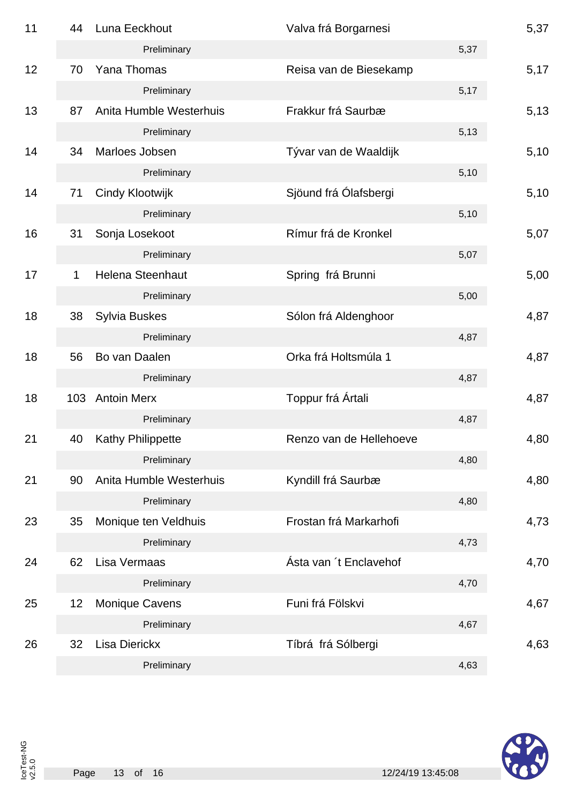| 11 | 44  | Luna Eeckhout            | Valva frá Borgarnesi    |      | 5,37 |
|----|-----|--------------------------|-------------------------|------|------|
|    |     | Preliminary              |                         | 5,37 |      |
| 12 | 70  | Yana Thomas              | Reisa van de Biesekamp  |      | 5,17 |
|    |     | Preliminary              |                         | 5,17 |      |
| 13 | 87  | Anita Humble Westerhuis  | Frakkur frá Saurbæ      |      | 5,13 |
|    |     | Preliminary              |                         | 5,13 |      |
| 14 | 34  | Marloes Jobsen           | Tývar van de Waaldijk   |      | 5,10 |
|    |     | Preliminary              |                         | 5,10 |      |
| 14 | 71  | Cindy Klootwijk          | Sjöund frá Ólafsbergi   |      | 5,10 |
|    |     | Preliminary              |                         | 5,10 |      |
| 16 | 31  | Sonja Losekoot           | Rímur frá de Kronkel    |      | 5,07 |
|    |     | Preliminary              |                         | 5,07 |      |
| 17 | 1   | <b>Helena Steenhaut</b>  | Spring frá Brunni       |      | 5,00 |
|    |     | Preliminary              |                         | 5,00 |      |
| 18 | 38  | <b>Sylvia Buskes</b>     | Sólon frá Aldenghoor    |      | 4,87 |
|    |     | Preliminary              |                         | 4,87 |      |
| 18 | 56  | Bo van Daalen            | Orka frá Holtsmúla 1    |      | 4,87 |
|    |     | Preliminary              |                         | 4,87 |      |
| 18 | 103 | <b>Antoin Merx</b>       | Toppur frá Ártali       |      | 4,87 |
|    |     | Preliminary              |                         | 4,87 |      |
| 21 | 40  | <b>Kathy Philippette</b> | Renzo van de Hellehoeve |      | 4,80 |
|    |     | Preliminary              |                         | 4,80 |      |
| 21 | 90  | Anita Humble Westerhuis  | Kyndill frá Saurbæ      |      | 4,80 |
|    |     | Preliminary              |                         | 4,80 |      |
| 23 | 35  | Monique ten Veldhuis     | Frostan frá Markarhofi  |      | 4,73 |
|    |     | Preliminary              |                         | 4,73 |      |
| 24 | 62  | Lisa Vermaas             | Ásta van 't Enclavehof  |      | 4,70 |
|    |     | Preliminary              |                         | 4,70 |      |
| 25 | 12  | <b>Monique Cavens</b>    | Funi frá Fölskvi        |      | 4,67 |
|    |     | Preliminary              |                         | 4,67 |      |
| 26 | 32  | <b>Lisa Dierickx</b>     | Tíbrá frá Sólbergi      |      | 4,63 |
|    |     | Preliminary              |                         | 4,63 |      |

IceTest-NG v2.5.0

A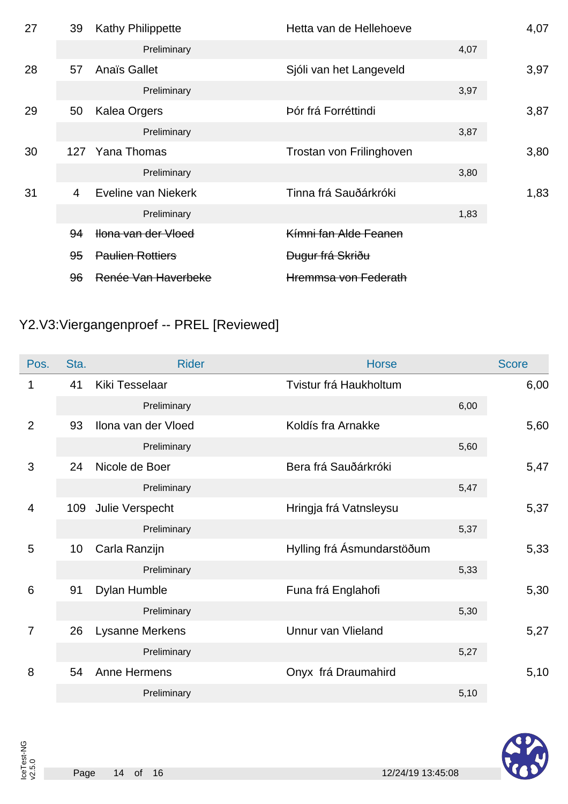| 27 | 39 | <b>Kathy Philippette</b> | Hetta van de Hellehoeve     |      | 4,07 |
|----|----|--------------------------|-----------------------------|------|------|
|    |    | Preliminary              |                             | 4,07 |      |
| 28 | 57 | Anaïs Gallet             | Sjóli van het Langeveld     |      | 3,97 |
|    |    | Preliminary              |                             | 3,97 |      |
| 29 | 50 | <b>Kalea Orgers</b>      | Þór frá Forréttindi         |      | 3,87 |
|    |    | Preliminary              |                             | 3,87 |      |
| 30 |    | 127 Yana Thomas          | Trostan von Frilinghoven    |      | 3,80 |
|    |    | Preliminary              |                             | 3,80 |      |
| 31 | 4  | Eveline van Niekerk      | Tinna frá Sauðárkróki       |      | 1,83 |
|    |    | Preliminary              |                             | 1,83 |      |
|    | 94 | Hona van der Vloed       | Kímni fan Alde Feanen       |      |      |
|    | 95 | <b>Paulien Rottiers</b>  | <del>Dugur frá Skriðu</del> |      |      |
|    | 96 | Renée Van Haverbeke      | Hremmsa von Federath        |      |      |
|    |    |                          |                             |      |      |

# Y2.V3:Viergangenproef -- PREL [Reviewed]

| Pos.           | Sta. | <b>Rider</b>        | <b>Horse</b>               | <b>Score</b> |
|----------------|------|---------------------|----------------------------|--------------|
| 1              | 41   | Kiki Tesselaar      | Tvistur frá Haukholtum     | 6,00         |
|                |      | Preliminary         |                            | 6,00         |
| $\overline{2}$ | 93   | Ilona van der Vloed | Koldís fra Arnakke         | 5,60         |
|                |      | Preliminary         |                            | 5,60         |
| 3              | 24   | Nicole de Boer      | Bera frá Sauðárkróki       | 5,47         |
|                |      | Preliminary         |                            | 5,47         |
| $\overline{4}$ | 109  | Julie Verspecht     | Hringja frá Vatnsleysu     | 5,37         |
|                |      | Preliminary         |                            | 5,37         |
| 5              | 10   | Carla Ranzijn       | Hylling frá Ásmundarstöðum | 5,33         |
|                |      | Preliminary         |                            | 5,33         |
| 6              | 91   | Dylan Humble        | Funa frá Englahofi         | 5,30         |
|                |      | Preliminary         |                            | 5,30         |
| $\overline{7}$ | 26   | Lysanne Merkens     | Unnur van Vlieland         | 5,27         |
|                |      | Preliminary         |                            | 5,27         |
| 8              | 54   | Anne Hermens        | Onyx frá Draumahird        | 5,10         |
|                |      | Preliminary         |                            | 5,10         |

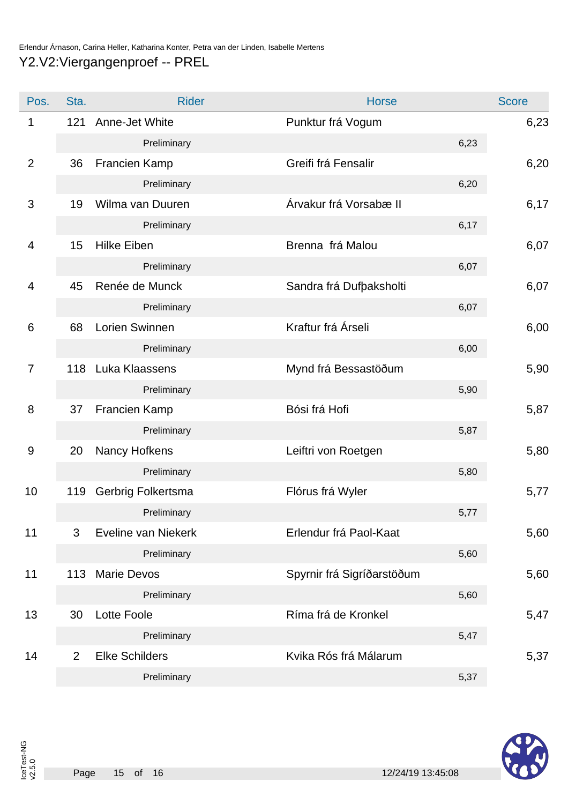| Pos.           | Sta. | <b>Rider</b>          | <b>Horse</b>               | <b>Score</b> |
|----------------|------|-----------------------|----------------------------|--------------|
| 1              | 121  | Anne-Jet White        | Punktur frá Vogum          | 6,23         |
|                |      | Preliminary           | 6,23                       |              |
| $\overline{2}$ | 36   | Francien Kamp         | Greifi frá Fensalir        | 6,20         |
|                |      | Preliminary           | 6,20                       |              |
| 3              | 19   | Wilma van Duuren      | Árvakur frá Vorsabæ II     | 6,17         |
|                |      | Preliminary           | 6,17                       |              |
| 4              | 15   | <b>Hilke Eiben</b>    | Brenna frá Malou           | 6,07         |
|                |      | Preliminary           | 6,07                       |              |
| 4              | 45   | Renée de Munck        | Sandra frá Dufþaksholti    | 6,07         |
|                |      | Preliminary           | 6,07                       |              |
| 6              | 68   | Lorien Swinnen        | Kraftur frá Árseli         | 6,00         |
|                |      | Preliminary           | 6,00                       |              |
| $\overline{7}$ | 118  | Luka Klaassens        | Mynd frá Bessastöðum       | 5,90         |
|                |      | Preliminary           | 5,90                       |              |
| 8              | 37   | Francien Kamp         | Bósi frá Hofi              | 5,87         |
|                |      | Preliminary           | 5,87                       |              |
| 9              | 20   | Nancy Hofkens         | Leiftri von Roetgen        | 5,80         |
|                |      | Preliminary           | 5,80                       |              |
| 10             | 119  | Gerbrig Folkertsma    | Flórus frá Wyler           | 5,77         |
|                |      | Preliminary           | 5,77                       |              |
| 11             | 3    | Eveline van Niekerk   | Erlendur frá Paol-Kaat     | 5,60         |
|                |      | Preliminary           | 5,60                       |              |
| 11             | 113  | <b>Marie Devos</b>    | Spyrnir frá Sigríðarstöðum | 5,60         |
|                |      | Preliminary           | 5,60                       |              |
| 13             | 30   | <b>Lotte Foole</b>    | Ríma frá de Kronkel        | 5,47         |
|                |      | Preliminary           | 5,47                       |              |
| 14             | 2    | <b>Elke Schilders</b> | Kvika Rós frá Málarum      | 5,37         |
|                |      | Preliminary           | 5,37                       |              |